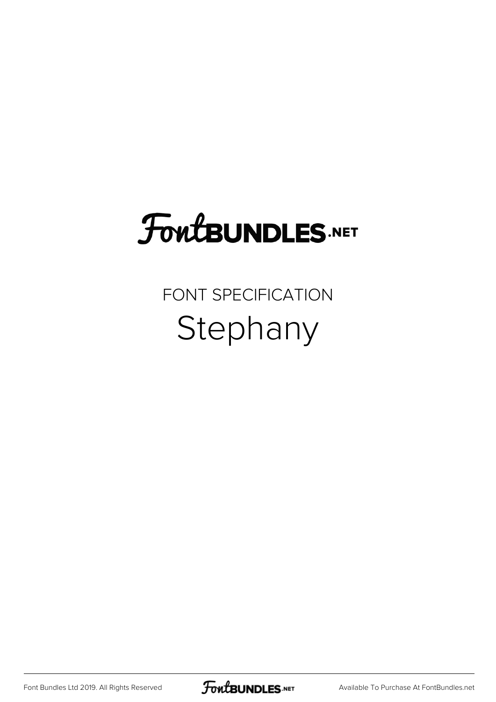# **FoutBUNDLES.NET**

### FONT SPECIFICATION Stephany

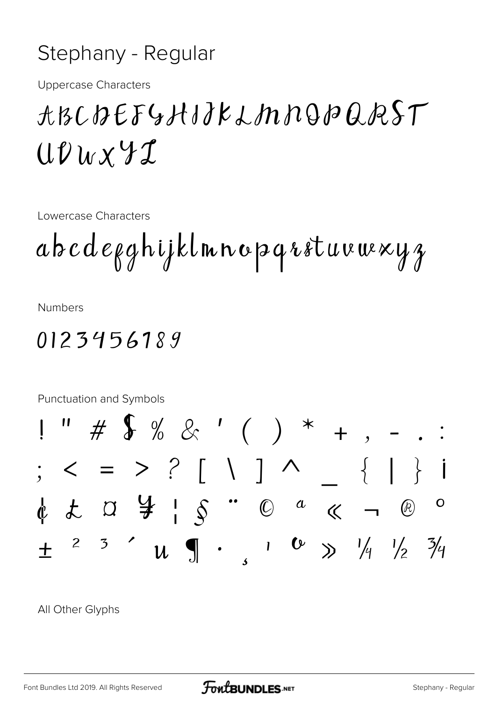#### Stephany - Regular

**Uppercase Characters** 

## ABCDEFGHIJKLMNQPQRST  $UUuxYI$

Lowercase Characters

 $abcdeqq$ hijklmnopqrstuvuexyz

**Numbers** 

#### 0123456189



All Other Glyphs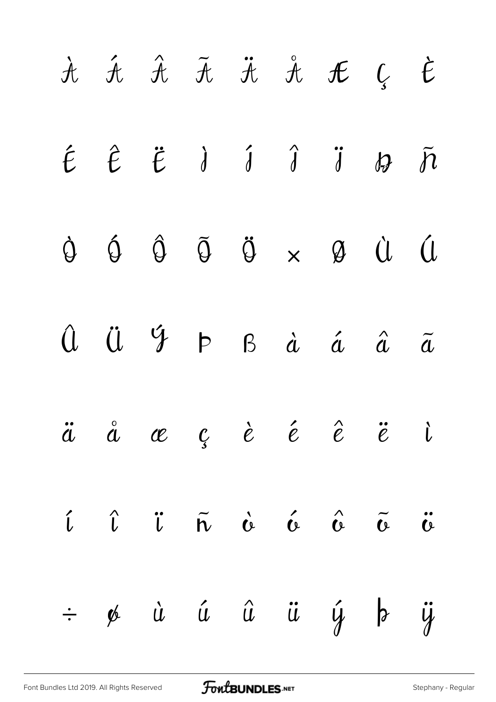|  |  |  | $\begin{array}{cccccccccccccc} \dot{\mathcal{H}} & \dot{\mathcal{H}} & \dot{\mathcal{H}} & \ddot{\mathcal{H}} & \dot{\mathcal{H}} & \mathcal{H} & \mathcal{L} & \mathcal{L} & \dot{\mathcal{E}} \end{array}$ |  |
|--|--|--|--------------------------------------------------------------------------------------------------------------------------------------------------------------------------------------------------------------|--|
|  |  |  | $\begin{array}{ccccccccccccc} \hat{t} & \hat{t} & \hat{t} & \hat{d} & \hat{d} & \hat{d} & \hat{d} & \hat{d} & \hat{d} & \hat{d} \end{array}$                                                                 |  |
|  |  |  | $\begin{array}{ccccccccccccc} \bullet & \bullet & \bullet & \hat{\bullet} & \tilde{\circ} & \times & \mathcal{A} & \mathcal{U} & \mathcal{U} & \mathcal{U} \end{array}$                                      |  |
|  |  |  | $\hat{u}$ $\ddot{u}$ $\phi$ $\phi$ $\dot{a}$ $\dot{a}$ $\ddot{a}$ $\ddot{a}$                                                                                                                                 |  |
|  |  |  | $\ddot{a}$ $\ddot{a}$ $\alpha$ $c$ $\dot{c}$ $\dot{e}$ $\ddot{e}$ $\ddot{e}$ $\ddot{e}$ $\ddot{c}$                                                                                                           |  |
|  |  |  | <i>i</i> î j ñ c é c õ ü                                                                                                                                                                                     |  |
|  |  |  | $\div$ % à á â ü ý þ ÿ                                                                                                                                                                                       |  |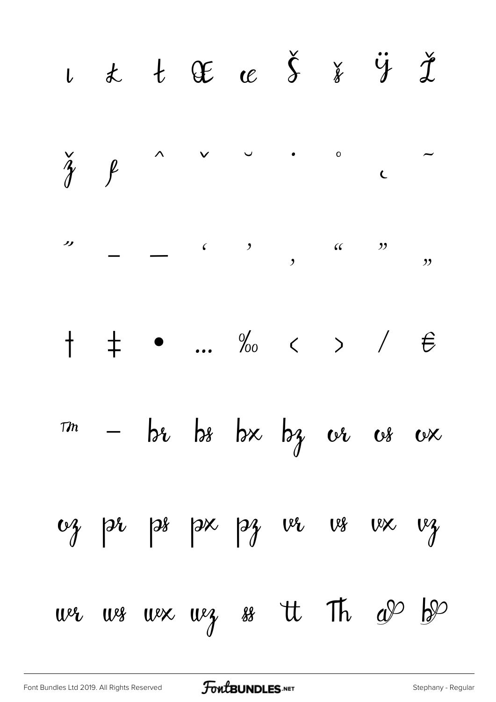$u$  t  $x$  t  $x$   $\delta$   $y$   $y$   $z$  $\check{\gamma}$  $\circ$  $\wedge$  $\vee$  $\int$  $\overline{C}$  $\begin{array}{cccc} \begin{array}{cccc} \text{c} & \text{c} & \text{c} \end{array} & \begin{array}{c} \text{c} & \text{c} \end{array} & \begin{array}{c} \text{c} & \text{c} \end{array} & \begin{array}{c} \text{c} & \text{c} \end{array} & \begin{array}{c} \text{c} & \text{c} \end{array} & \begin{array}{c} \text{c} & \text{c} \end{array} & \begin{array}{c} \text{c} & \text{c} \end{array} & \begin{array}{c} \text{c} & \text{c} \end{array} & \begin{array}{c} \text{c} & \text$ ノノ  $\frac{1}{2}$   $\frac{1}{2}$   $\frac{1}{2}$   $\frac{1}{2}$   $\frac{1}{2}$   $\frac{1}{2}$   $\frac{1}{2}$   $\frac{1}{2}$   $\frac{1}{2}$   $\frac{1}{2}$   $\frac{1}{2}$   $\frac{1}{2}$   $\frac{1}{2}$   $\frac{1}{2}$   $\frac{1}{2}$   $\frac{1}{2}$   $\frac{1}{2}$   $\frac{1}{2}$   $\frac{1}{2}$   $\frac{1}{2}$   $\frac{1}{2}$   $\frac{1}{2}$   $\overline{\mathcal{Y}}$ ...  $\%$   $\lt$   $>$  /  $\pm$  $\dagger$  $\epsilon$  $-$  be be bx bz  $\omega$   $\omega$  $T<sub>m</sub>$  $\alpha$  $38$   $38$   $33$   $10$  $v_{\gamma}$  pr  $V^{\chi}$  $v_{\gamma}$ we we weg so tt Th  $a^{\varphi}$  $\frac{1}{2}$  $W^{\ell}$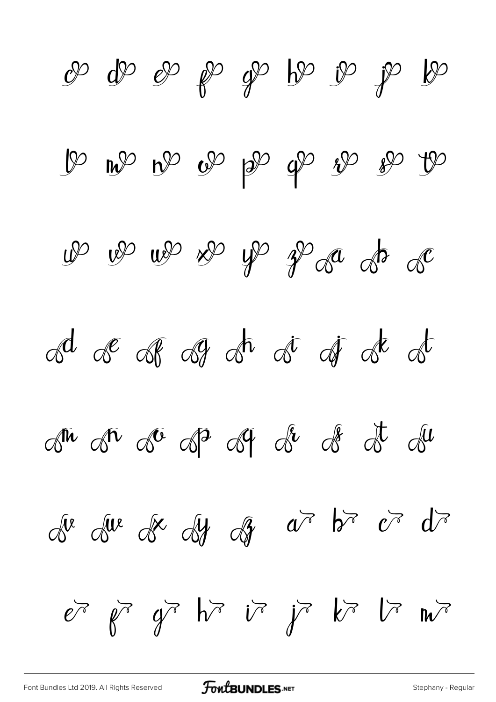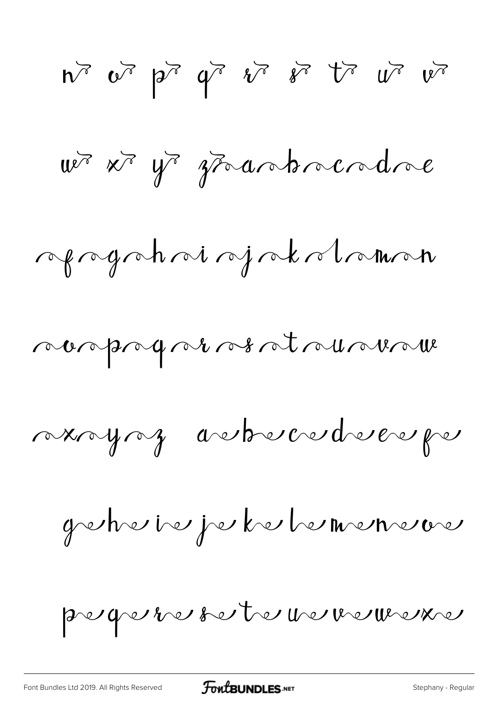$n^2$   $v^3$   $p^3$   $q^7$   $i^7$   $i^7$   $i^7$   $i^8$ wer xr yr grantmandne reprogramment appartement nonprogrammer at runder manying andreverdrever per geheie je kelemene pequiveste veuveure